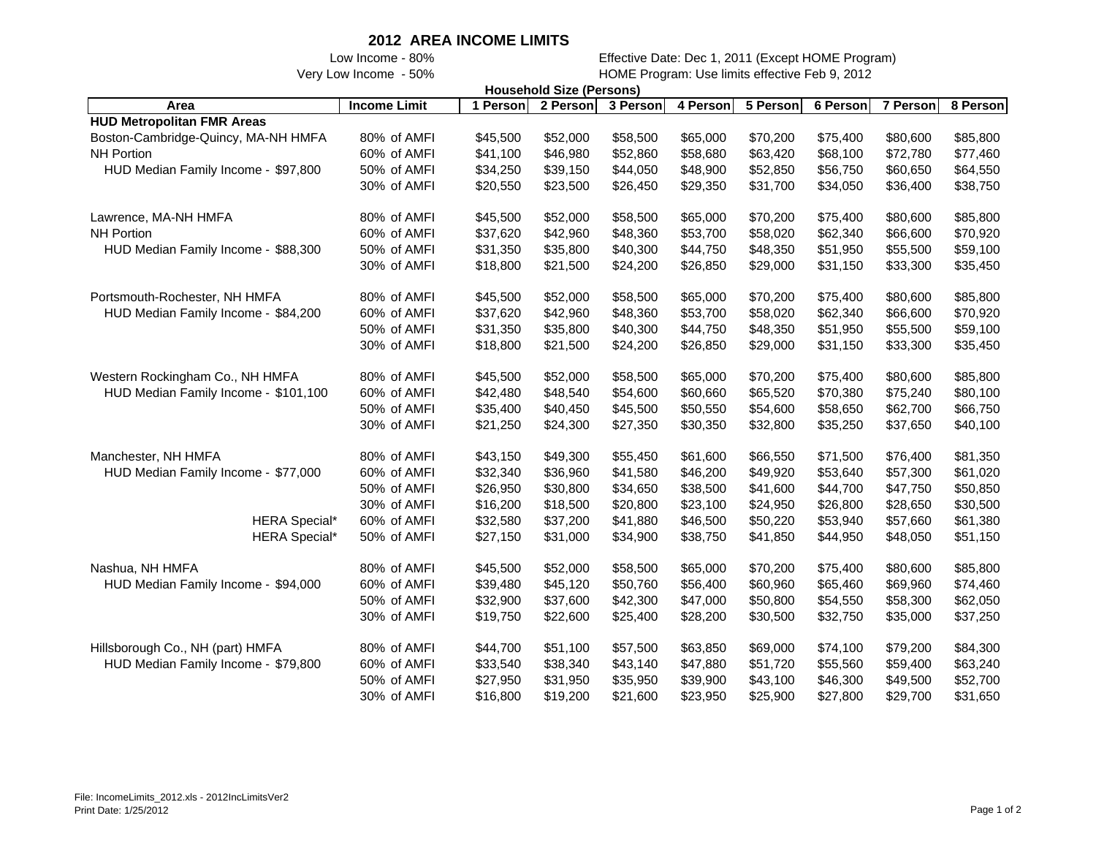## **2012 AREA INCOME LIMITS**

 Low Income - 80% Effective Date: Dec 1, 2011 (Except HOME Program) Very Low Income - 50% HOME Program: Use limits effective Feb 9, 2012

| <b>Household Size (Persons)</b>      |                     |          |          |          |          |          |          |          |          |
|--------------------------------------|---------------------|----------|----------|----------|----------|----------|----------|----------|----------|
| Area                                 | <b>Income Limit</b> | 1 Person | 2 Person | 3 Person | 4 Person | 5 Person | 6 Person | 7 Person | 8 Person |
| <b>HUD Metropolitan FMR Areas</b>    |                     |          |          |          |          |          |          |          |          |
| Boston-Cambridge-Quincy, MA-NH HMFA  | 80% of AMFI         | \$45,500 | \$52,000 | \$58,500 | \$65,000 | \$70,200 | \$75,400 | \$80,600 | \$85,800 |
| <b>NH Portion</b>                    | 60% of AMFI         | \$41,100 | \$46,980 | \$52,860 | \$58,680 | \$63,420 | \$68,100 | \$72,780 | \$77,460 |
| HUD Median Family Income - \$97,800  | 50% of AMFI         | \$34,250 | \$39,150 | \$44,050 | \$48,900 | \$52,850 | \$56,750 | \$60,650 | \$64,550 |
|                                      | 30% of AMFI         | \$20,550 | \$23,500 | \$26,450 | \$29,350 | \$31,700 | \$34,050 | \$36,400 | \$38,750 |
| Lawrence, MA-NH HMFA                 | 80% of AMFI         | \$45,500 | \$52,000 | \$58,500 | \$65,000 | \$70,200 | \$75,400 | \$80,600 | \$85,800 |
| <b>NH Portion</b>                    | 60% of AMFI         | \$37,620 | \$42,960 | \$48,360 | \$53,700 | \$58,020 | \$62,340 | \$66,600 | \$70,920 |
| HUD Median Family Income - \$88,300  | 50% of AMFI         | \$31,350 | \$35,800 | \$40,300 | \$44,750 | \$48,350 | \$51,950 | \$55,500 | \$59,100 |
|                                      | 30% of AMFI         | \$18,800 | \$21,500 | \$24,200 | \$26,850 | \$29,000 | \$31,150 | \$33,300 | \$35,450 |
| Portsmouth-Rochester, NH HMFA        | 80% of AMFI         | \$45,500 | \$52,000 | \$58,500 | \$65,000 | \$70,200 | \$75,400 | \$80,600 | \$85,800 |
| HUD Median Family Income - \$84,200  | 60% of AMFI         | \$37,620 | \$42,960 | \$48,360 | \$53,700 | \$58,020 | \$62,340 | \$66,600 | \$70,920 |
|                                      | 50% of AMFI         | \$31,350 | \$35,800 | \$40,300 | \$44,750 | \$48,350 | \$51,950 | \$55,500 | \$59,100 |
|                                      | 30% of AMFI         | \$18,800 | \$21,500 | \$24,200 | \$26,850 | \$29,000 | \$31,150 | \$33,300 | \$35,450 |
| Western Rockingham Co., NH HMFA      | 80% of AMFI         | \$45,500 | \$52,000 | \$58,500 | \$65,000 | \$70,200 | \$75,400 | \$80,600 | \$85,800 |
| HUD Median Family Income - \$101,100 | 60% of AMFI         | \$42,480 | \$48,540 | \$54,600 | \$60,660 | \$65,520 | \$70,380 | \$75,240 | \$80,100 |
|                                      | 50% of AMFI         | \$35,400 | \$40,450 | \$45,500 | \$50,550 | \$54,600 | \$58,650 | \$62,700 | \$66,750 |
|                                      | 30% of AMFI         | \$21,250 | \$24,300 | \$27,350 | \$30,350 | \$32,800 | \$35,250 | \$37,650 | \$40,100 |
| Manchester, NH HMFA                  | 80% of AMFI         | \$43,150 | \$49,300 | \$55,450 | \$61,600 | \$66,550 | \$71,500 | \$76,400 | \$81,350 |
| HUD Median Family Income - \$77,000  | 60% of AMFI         | \$32,340 | \$36,960 | \$41,580 | \$46,200 | \$49,920 | \$53,640 | \$57,300 | \$61,020 |
|                                      | 50% of AMFI         | \$26,950 | \$30,800 | \$34,650 | \$38,500 | \$41,600 | \$44,700 | \$47,750 | \$50,850 |
|                                      | 30% of AMFI         | \$16,200 | \$18,500 | \$20,800 | \$23,100 | \$24,950 | \$26,800 | \$28,650 | \$30,500 |
| <b>HERA Special*</b>                 | 60% of AMFI         | \$32,580 | \$37,200 | \$41,880 | \$46,500 | \$50,220 | \$53,940 | \$57,660 | \$61,380 |
| <b>HERA Special*</b>                 | 50% of AMFI         | \$27,150 | \$31,000 | \$34,900 | \$38,750 | \$41,850 | \$44,950 | \$48,050 | \$51,150 |
| Nashua, NH HMFA                      | 80% of AMFI         | \$45,500 | \$52,000 | \$58,500 | \$65,000 | \$70,200 | \$75,400 | \$80,600 | \$85,800 |
| HUD Median Family Income - \$94,000  | 60% of AMFI         | \$39,480 | \$45,120 | \$50,760 | \$56,400 | \$60,960 | \$65,460 | \$69,960 | \$74,460 |
|                                      | 50% of AMFI         | \$32,900 | \$37,600 | \$42,300 | \$47,000 | \$50,800 | \$54,550 | \$58,300 | \$62,050 |
|                                      | 30% of AMFI         | \$19,750 | \$22,600 | \$25,400 | \$28,200 | \$30,500 | \$32,750 | \$35,000 | \$37,250 |
| Hillsborough Co., NH (part) HMFA     | 80% of AMFI         | \$44,700 | \$51,100 | \$57,500 | \$63,850 | \$69,000 | \$74,100 | \$79,200 | \$84,300 |
| HUD Median Family Income - \$79,800  | 60% of AMFI         | \$33,540 | \$38,340 | \$43,140 | \$47,880 | \$51,720 | \$55,560 | \$59,400 | \$63,240 |
|                                      | 50% of AMFI         | \$27,950 | \$31,950 | \$35,950 | \$39,900 | \$43,100 | \$46,300 | \$49,500 | \$52,700 |
|                                      | 30% of AMFI         | \$16,800 | \$19,200 | \$21,600 | \$23,950 | \$25,900 | \$27,800 | \$29,700 | \$31,650 |